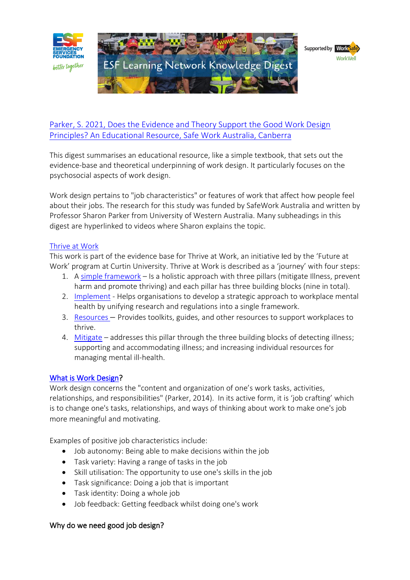

# [Parker, S. 2021, Does the Evidence and Theory Support the Good Work Design](https://esf.com.au/wp-content/uploads/2022/02/does-the-evidence-theory-support-good-work-design-principles.pdf)  [Principles? An Educational Resource, Safe Work Australia, Canberra](https://esf.com.au/wp-content/uploads/2022/02/does-the-evidence-theory-support-good-work-design-principles.pdf)

This digest summarises an educational resource, like a simple textbook, that sets out the evidence-base and theoretical underpinning of work design. It particularly focuses on the psychosocial aspects of work design.

Work design pertains to "job characteristics" or features of work that affect how people feel about their jobs. The research for this study was funded by SafeWork Australia and written by Professor Sharon Parker from University of Western Australia. Many subheadings in this digest are hyperlinked to videos where Sharon explains the topic.

#### [Thrive at Work](https://www.thriveatwork.org.au/)

This work is part of the evidence base for Thrive at Work, an initiative led by the 'Future at Work' program at Curtin University. Thrive at Work is described as a 'journey' with four steps:

- 1. A [simple framework](https://www.thriveatwork.org.au/framework/) Is a holistic approach with three pillars [\(mitigate Illness,](https://www.thriveatwork.org.au/framework/mitigate/) [prevent](https://www.thriveatwork.org.au/framework/prevent/)  [harm](https://www.thriveatwork.org.au/framework/prevent/) and [promote thriving\)](https://www.thriveatwork.org.au/framework/promote/) and each pillar has three building blocks (nine in total).
- 2. [Implement](https://www.thriveatwork.org.au/implement/) Helps organisations to develop a strategic approach to workplace mental health by unifying research and regulations into a single framework.
- 3. [Resources](https://www.thriveatwork.org.au/resources/) Provides toolkits, guides, and other resources to support workplaces to thrive.
- 4. [Mitigate](https://www.thriveatwork.org.au/framework/mitigate/) addresses this pillar through the three building blocks of detecting illness; supporting and accommodating illness; and increasing individual resources for managing mental ill-health.

### [What is Work Design?](https://www.youtube.com/watch?v=uR3dJJjSDdM&t=2s)

Work design concerns the "content and organization of one's work tasks, activities, relationships, and responsibilities" (Parker, 2014). In its active form, it is 'job crafting' which is to change one's tasks, relationships, and ways of thinking about work to make one's job more meaningful and motivating.

Examples of positive job characteristics include:

- Job autonomy: Being able to make decisions within the job
- Task variety: Having a range of tasks in the job
- Skill utilisation: The opportunity to use one's skills in the job
- Task significance: Doing a job that is important
- Task identity: Doing a whole job
- Job feedback: Getting feedback whilst doing one's work

## Why do we need good job design?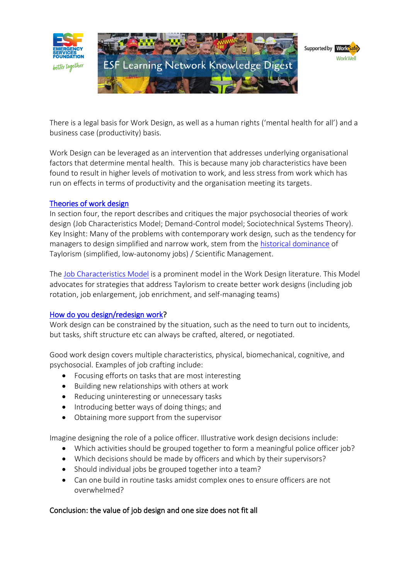

There is a legal basis for Work Design, as well as a human rights ('mental health for all') and a business case (productivity) basis.

Work Design can be leveraged as an intervention that addresses underlying organisational factors that determine mental health. This is because many job characteristics have been found to result in higher levels of motivation to work, and less stress from work which has run on effects in terms of productivity and the organisation meeting its targets.

### [Theories of work design](https://www.youtube.com/watch?v=t5RLRicTvSk)

In section four, the report describes and critiques the major psychosocial theories of work design (Job Characteristics Model; Demand-Control model; Sociotechnical Systems Theory). Key Insight: Many of the problems with contemporary work design, such as the tendency for managers to design simplified and narrow work, stem from the [historical dominance](https://www.youtube.com/watch?v=6bH52P8eK8M) of Taylorism (simplified, low-autonomy jobs) / Scientific Management.

The [Job Characteristics Model](https://www.youtube.com/watch?v=t5RLRicTvSk) is a prominent model in the Work Design literature. This Model advocates for strategies that address Taylorism to create better work designs (including job rotation, job enlargement, job enrichment, and self-managing teams)

### [How do you design/redesign work?](https://www.youtube.com/watch?time_continue=28&v=AMdXPvk10pw&feature=emb_logo)

Work design can be constrained by the situation, such as the need to turn out to incidents, but tasks, shift structure etc can always be crafted, altered, or negotiated.

Good work design covers multiple characteristics, physical, biomechanical, cognitive, and psychosocial. Examples of job crafting include:

- Focusing efforts on tasks that are most interesting
- Building new relationships with others at work
- Reducing uninteresting or unnecessary tasks
- Introducing better ways of doing things; and
- Obtaining more support from the supervisor

Imagine designing the role of a police officer. Illustrative work design decisions include:

- Which activities should be grouped together to form a meaningful police officer job?
- Which decisions should be made by officers and which by their supervisors?
- Should individual jobs be grouped together into a team?
- Can one build in routine tasks amidst complex ones to ensure officers are not overwhelmed?

### Conclusion: the value of job design and one size does not fit all